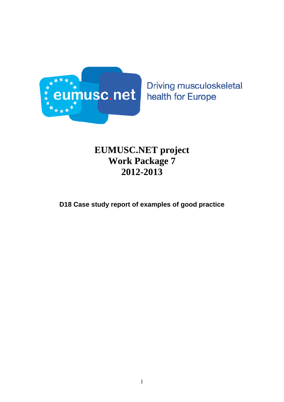

Driving musculoskeletal health for Europe

# **EUMUSC.NET project Work Package 7 2012-2013**

**D18 Case study report of examples of good practice**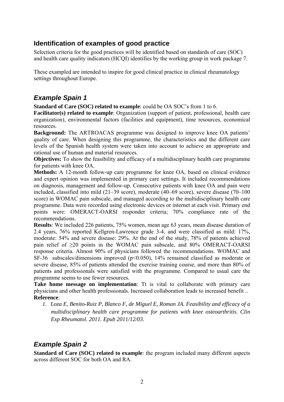### **Identification of examples of good practice**

Selection criteria for the good practices will be identified based on standards of care (SOC) and health care quality indicators (HCQI) identifies by the working group in work package 7.

These exampled are intended to inspire for good clinical practice in clinical rheumatology settings throughout Europe.

### *Example Spain 1*

**Standard of Care (SOC) related to example**: could be OA SOC's from 1 to 6.

**Facilitator(s) related to example**: Organization (support of patient, professional, health care organization), environmental factors (facilities and equipment), time resources, economical resources.

**Background:** The ARTROACAS programme was designed to improve knee OA patients' quality of care. When designing this programme, the characteristics and the different care levels of the Spanish health system were taken into account to achieve an appropriate and rational use of human and material resources.

**Objectives:** To show the feasibility and efficacy of a multidisciplinary health care programme for patients with knee OA.

**Methods:** A 12-month follow-up care programme for knee OA, based on clinical evidence and expert opinion was implemented in primary care settings. It included recommendations on diagnosis, management and follow-up. Consecutive patients with knee OA and pain were included, classified into mild (21–39 score), moderate (40–69 score), severe disease (70–100 score) in WOMAC pain subscale, and managed according to the multidisciplinary health care programme. Data were recorded using electronic devices or internet at each visit. Primary end points were: OMERACT-OARSI responder criteria; 70% compliance rate of the recommendations.

**Results**: We included 226 patients, 75% women, mean age 63 years, mean disease duration of 2.4 years, 76% reported Kellgren-Lawrence grade 3-4, and were classified as mild: 17%, moderate: 54% and severe disease: 29%. At the end of the study, 78% of patients achieved pain relief of >20 points in the WOMAC pain subscale, and 80% OMERACT-OARSI response criteria. Almost 90% of physicians followed the recommendations. WOMAC and SF-36 subscales/dimensions improved (p<0.050), 14% remained classified as moderate or severe disease, 85% of patients attended the exercise training course, and more than 80% of patients and professionals were satisfied with the programme. Compared to usual care the programme seems to use fewer resources.

**Take home message on implementation**: Tt is vital to collaborate with primary care physicians and other health professionals. Increased collaboration leads to increased benefit .. **Reference**:

*1. Loza E, Benito-Ruiz P, Blanco F, de Miguel E, Roman JA. Feasibility and efficacy of a multidisciplinary health care programme for patients with knee osteoarthritis. Clin Exp Rheumatol. 2011. Epub 2011/12/03.* 

### *Example Spain 2*

**Standard of Care (SOC) related to example**: the program included many different aspects across different SOC for both OA and RA.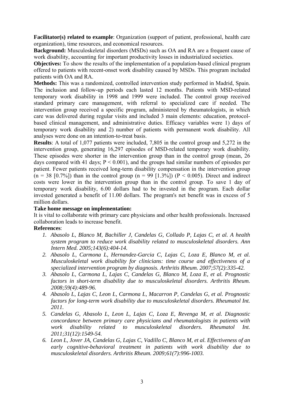**Facilitator(s) related to example**: Organization (support of patient, professional, health care organization), time resources, and economical resources.

**Background:** Musculoskeletal disorders (MSDs) such as OA and RA are a frequent cause of work disability, accounting for important productivity losses in industrialized societies.

**Objectives:** To show the results of the implementation of a population-based clinical program offered to patients with recent-onset work disability caused by MSDs. This program included patients with OA and RA.

**Methods:** This was a randomized, controlled intervention study performed in Madrid, Spain. The inclusion and follow-up periods each lasted 12 months. Patients with MSD-related temporary work disability in 1998 and 1999 were included. The control group received standard primary care management, with referral to specialized care if needed. The intervention group received a specific program, administered by rheumatologists, in which care was delivered during regular visits and included 3 main elements: education, protocolbased clinical management, and administrative duties. Efficacy variables were 1) days of temporary work disability and 2) number of patients with permanent work disability. All analyses were done on an intention-to-treat basis.

**Results**: A total of 1,077 patients were included, 7,805 in the control group and 5,272 in the intervention group, generating 16,297 episodes of MSD-related temporary work disability. These episodes were shorter in the intervention group than in the control group (mean, 26 days compared with 41 days;  $P \le 0.001$ ), and the groups had similar numbers of episodes per patient. Fewer patients received long-term disability compensation in the intervention group  $(n = 38 \text{ [0.7\%])}$  than in the control group  $(n = 99 \text{ [1.3\%])}$  (P < 0.005). Direct and indirect costs were lower in the intervention group than in the control group. To save 1 day of temporary work disability, 6.00 dollars had to be invested in the program. Each dollar invested generated a benefit of 11.00 dollars. The program's net benefit was in excess of 5 million dollars.

#### **Take home message on implementation:**

It is vital to collaborate with primary care physicians and other health professionals. Increased collaboration leads to increase benefit.

#### **References**:

- *1. Abasolo L, Blanco M, Bachiller J, Candelas G, Collado P, Lajas C, et al. A health system program to reduce work disability related to musculoskeletal disorders. Ann Intern Med. 2005;143(6):404-14.*
- *2. Abasolo L, Carmona L, Hernandez-Garcia C, Lajas C, Loza E, Blanco M, et al. Musculoskeletal work disability for clinicians: time course and effectiveness of a specialized intervention program by diagnosis. Arthritis Rheum. 2007;57(2):335-42.*
- *3. Abasolo L, Carmona L, Lajas C, Candelas G, Blanco M, Loza E, et al. Prognostic factors in short-term disability due to musculoskeletal disorders. Arthritis Rheum. 2008;59(4):489-96.*
- *4. Abasolo L, Lajas C, Leon L, Carmona L, Macarron P, Candelas G, et al. Prognostic factors for long-term work disability due to musculoskeletal disorders. Rheumatol Int. 2011.*
- *5. Candelas G, Abasolo L, Leon L, Lajas C, Loza E, Revenga M, et al. Diagnostic concordance between primary care physicians and rheumatologists in patients with work disability related to musculoskeletal disorders. Rheumatol Int. 2011;31(12):1549-54.*
- *6. Leon L, Jover JA, Candelas G, Lajas C, Vadillo C, Blanco M, et al. Effectiveness of an early cognitive-behavioral treatment in patients with work disability due to musculoskeletal disorders. Arthritis Rheum. 2009;61(7):996-1003.*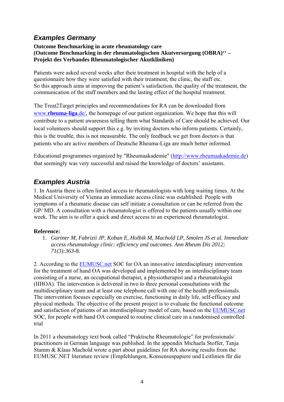# *Examples Germany*

### **Outcome Benchmarking in acute rheumatology care (Outcome Benchmarking in der rheumatologischen Akutversorgung (OBRA)'' – Projekt des Verbandes Rheumatologischer Akutkliniken)**

Patients were asked several weeks after their treatment in hospital with the help of a questionnaire how they were satisfied with their treatment, the clinic, the staff etc. So this approach aims at improving the patient's satisfaction, the quality of the treatment, the communication of the staff members and the lasting effect of the hospital treatment.

The Treat2Target principles and recommendations for RA can be downloaded from www.**[rheuma](http://www.rheuma-liga.de/)**-**liga**.de/, the homepage of our patient organization. We hope that this will contribute to a patient awareness telling them what Standards of Care should be achieved. Our local volunteers should support this e.g. by inviting doctors who inform patients. Certainly, this is the trouble, this is not measurable. The only feedback we get from doctors is that patients who are active members of Deutsche Rheuma-Liga are much better informed.

Educational programmes organized by "Rheumaakademie" [\(http://www.rheumaakademie.de](http://www.rheumaakademie.de/)) that seemingly was very successful and raised the knowledge of doctors' assistants.

## *Examples Austria*

1. In Austria there is often limited access to rheumatologists with long waiting times. At the Medical University of Vienna an immediate access clinic was established. People with symptoms of a rheumatic disease can self initiate a consultation or can be referred from the GP/ MD. A consultation with a rheumatologist is offered to the patients usually within one week. The aim is to offer a quick and direct access to an experienced rheumatologist.

#### **Reference:**

1. *Gartner M, Fabrizii JP, Koban E, Holbik M, Machold LP, Smolen JS et al. Immediate access rheumatology clinic: efficiency and outcomes. Ann Rheum Dis 2012; 71(3):363-8.*

2. According to the [EUMUSC.net](http://www.webmail.tele2.no/Redirect/EUMUSC.net) SOC for OA an innovative interdisciplinary intervention for the treatment of hand OA was developed and implemented by an interdisciplinary team consisting of a nurse, an occupational therapist, a physiotherapist and a rheumatologist (IIHOA). The intervention is delivered in two to three personal consultations with the multidisciplinary team and at least one telephone call with one of the health professionals. The intervention focuses especially on exercise, functioning in daily life, self-efficacy and physical methods. The objective of the present project is to evaluate the functional outcome and satisfaction of patients of an interdisciplinary model of care, based on the [EUMUSC.net](http://www.webmail.tele2.no/Redirect/EUMUSC.net) SOC, for people with hand OA compared to routine clinical care in a randomised controlled trial

In 2011 a rheumatology text book called "Praktische Rheumatologie" for professionals/ practitioners in German language was published. In the appendix Michaela Stoffer, Tanja Stamm & Klaus Machold wrote a part about guidelines for RA showing results from the EUMUSC.NET literature review (Empfehlungen, Konsensuspapiere und Leitlinien für die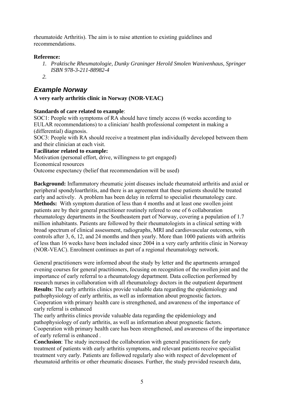rheumatoide Arthritis). The aim is to raise attention to existing guidelines and recommendations.

### **Reference:**

- *1. Praktische Rheumatologie, Dunky Graninger Herold Smolen Wanivenhaus, Springer ISBN 978-3-211-88982-4*
- *2.*

# *Example Norway*

### **A very early arthritis clinic in Norway (NOR-VEAC)**

### **Standards of care related to example**:

SOC1: People with symptoms of RA should have timely access (6 weeks according to EULAR recommendations) to a clinician/ health professional competent in making a (differential) diagnosis.

SOC3: People with RA should receive a treatment plan individually developed between them and their clinician at each visit.

#### **Facilitator related to example:**

Motivation (personal effort, drive, willingness to get engaged) Economical resources Outcome expectancy (belief that recommendation will be used)

**Background:** Inflammatory rheumatic joint diseases include rheumatoid arthritis and axial or peripheral spondyloarthritis, and there is an agreement that these patients should be treated early and actively. A problem has been delay in referral to specialist rheumatology care. **Methods:** With symptom duration of less than 4 months and at least one swollen joint patients are by their general practitioner routinely refered to one of 6 collaboration rheumatology departments in the Southeastern part of Norway, covering a population of 1.7 million inhabitants. Patients are followed by their rheumatologists in a clinical setting with broad spectrum of clinical assessment, radiographs, MRI and cardiovascular outcomes, with controls after 3, 6, 12, and 24 months and then yearly. More than 1000 patients with arthritis of less than 16 weeks have been included since 2004 in a very early arthritis clinic in Norway (NOR-VEAC). Enrolment continues as part of a regional rheumatology network.

General practitioners were informed about the study by letter and the apartments arranged evening courses for general practitioners, focusing on recognition of the swollen joint and the importance of early referral to a rheumatology department. Data collection performed by research nurses in collaboration with all rheumatology doctors in the outpatient department **Results**: The early arthritis clinics provide valuable data regarding the epidemiology and pathophysiology of early arthritis, as well as information about prognostic factors. Cooperation with primary health care is strengthened, and awareness of the importance of early referral is enhanced

The early arthritis clinics provide valuable data regarding the epidemiology and pathophysiology of early arthritis, as well as information about prognostic factors. Cooperation with primary health care has been strengthened, and awareness of the importance of early referral is enhanced .

**Conclusion**: The study increased the collaboration with general practitioners for early treatment of patients with early arthritis symptoms, and relevant patients receive specialist treatment very early. Patients are followed regularly also with respect of development of rheumatoid arthritis or other rheumatic diseases. Further, the study provided research data,